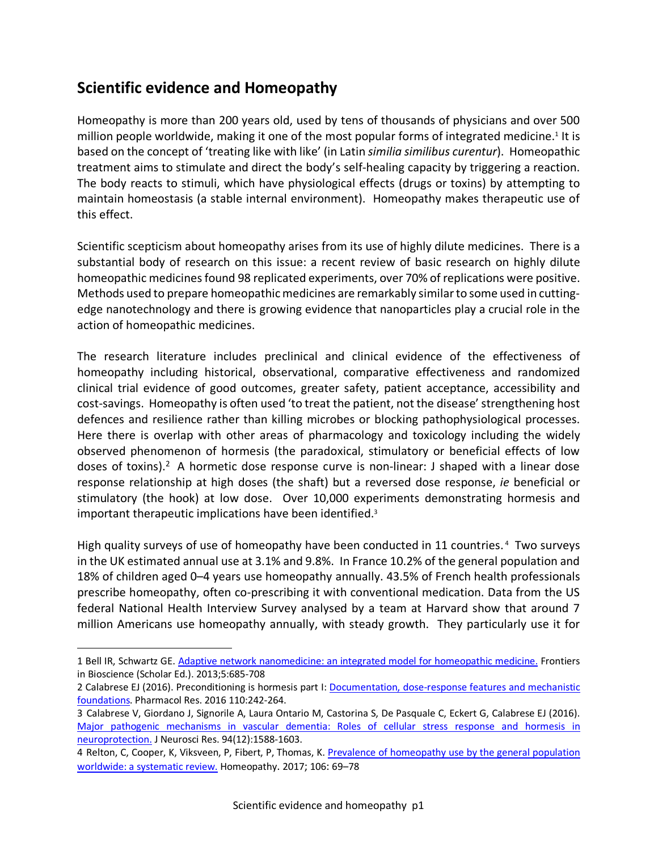# **Scientific evidence and Homeopathy**

 $\overline{a}$ 

Homeopathy is more than 200 years old, used by tens of thousands of physicians and over 500 million people worldwide, making it one of the most popular forms of integrated medicine.<sup>1</sup> It is based on the concept of 'treating like with like' (in Latin *similia similibus curentur*). Homeopathic treatment aims to stimulate and direct the body's self-healing capacity by triggering a reaction. The body reacts to stimuli, which have physiological effects (drugs or toxins) by attempting to maintain homeostasis (a stable internal environment). Homeopathy makes therapeutic use of this effect.

Scientific scepticism about homeopathy arises from its use of highly dilute medicines. There is a substantial body of research on this issue: a recent review of basic research on highly dilute homeopathic medicines found 98 replicated experiments, over 70% of replications were positive. Methods used to prepare homeopathic medicines are remarkably similar to some used in cuttingedge nanotechnology and there is growing evidence that nanoparticles play a crucial role in the action of homeopathic medicines.

The research literature includes preclinical and clinical evidence of the effectiveness of homeopathy including historical, observational, comparative effectiveness and randomized clinical trial evidence of good outcomes, greater safety, patient acceptance, accessibility and cost-savings. Homeopathy is often used 'to treat the patient, not the disease' strengthening host defences and resilience rather than killing microbes or blocking pathophysiological processes. Here there is overlap with other areas of pharmacology and toxicology including the widely observed phenomenon of hormesis (the paradoxical, stimulatory or beneficial effects of low doses of toxins).<sup>2</sup> A hormetic dose response curve is non-linear: J shaped with a linear dose response relationship at high doses (the shaft) but a reversed dose response, *ie* beneficial or stimulatory (the hook) at low dose. Over 10,000 experiments demonstrating hormesis and important therapeutic implications have been identified.3

High quality surveys of use of homeopathy have been conducted in 11 countries.<sup>4</sup> Two surveys in the UK estimated annual use at 3.1% and 9.8%. In France 10.2% of the general population and 18% of children aged 0–4 years use homeopathy annually. 43.5% of French health professionals prescribe homeopathy, often co-prescribing it with conventional medication. Data from the US federal National Health Interview Survey analysed by a team at Harvard show that around 7 million Americans use homeopathy annually, with steady growth. They particularly use it for

<sup>1</sup> Bell IR, Schwartz GE. Adaptive network nanomedicine: an integrated model for homeopathic medicine. Frontiers in Bioscience (Scholar Ed.). 2013;5:685-708

<sup>2</sup> Calabrese EJ (2016). Preconditioning is hormesis part I: Documentation, dose-response features and mechanistic foundations. Pharmacol Res. 2016 110:242-264.

<sup>3</sup> Calabrese V, Giordano J, Signorile A, Laura Ontario M, Castorina S, De Pasquale C, Eckert G, Calabrese EJ (2016). Major pathogenic mechanisms in vascular dementia: Roles of cellular stress response and hormesis in neuroprotection. J Neurosci Res. 94(12):1588-1603.

<sup>4</sup> Relton, C, Cooper, K, Viksveen, P, Fibert, P, Thomas, K. Prevalence of homeopathy use by the general population worldwide: a systematic review. Homeopathy. 2017; 106: 69–78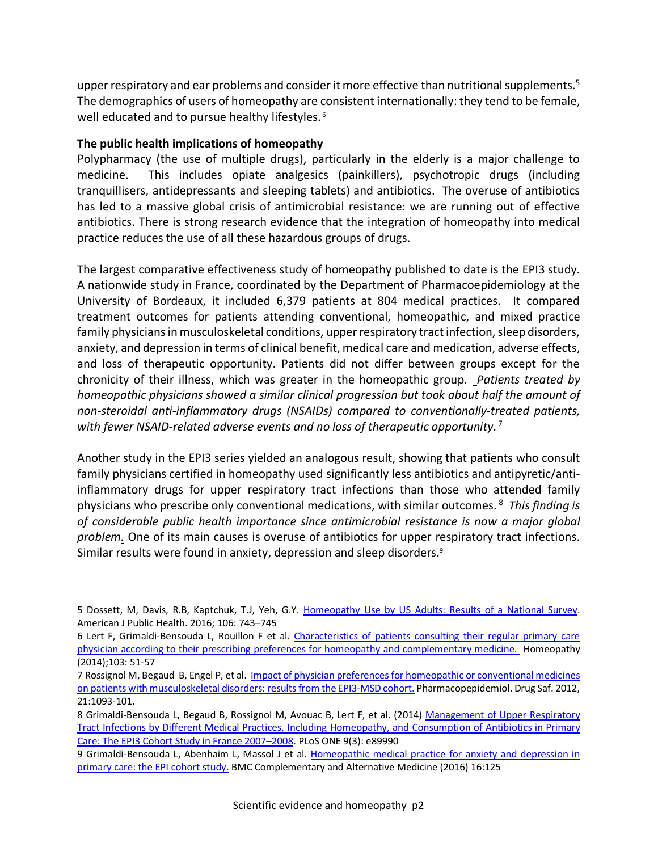upper respiratory and ear problems and consider it more effective than nutritional supplements.<sup>5</sup> The demographics of users of homeopathy are consistent internationally: they tend to be female, well educated and to pursue healthy lifestyles. <sup>6</sup>

# **The public health implications of homeopathy**

 $\overline{a}$ 

Polypharmacy (the use of multiple drugs), particularly in the elderly is a major challenge to medicine. This includes opiate analgesics (painkillers), psychotropic drugs (including tranquillisers, antidepressants and sleeping tablets) and antibiotics. The overuse of antibiotics has led to a massive global crisis of antimicrobial resistance: we are running out of effective antibiotics. There is strong research evidence that the integration of homeopathy into medical practice reduces the use of all these hazardous groups of drugs.

The largest comparative effectiveness study of homeopathy published to date is the EPI3 study. A nationwide study in France, coordinated by the Department of Pharmacoepidemiology at the University of Bordeaux, it included 6,379 patients at 804 medical practices. It compared treatment outcomes for patients attending conventional, homeopathic, and mixed practice family physicians in musculoskeletal conditions, upper respiratory tract infection, sleep disorders, anxiety, and depression in terms of clinical benefit, medical care and medication, adverse effects, and loss of therapeutic opportunity. Patients did not differ between groups except for the chronicity of their illness, which was greater in the homeopathic group*. Patients treated by homeopathic physicians showed a similar clinical progression but took about half the amount of non-steroidal anti-inflammatory drugs (NSAIDs) compared to conventionally-treated patients, with fewer NSAID-related adverse events and no loss of therapeutic opportunity*. <sup>7</sup>

Another study in the EPI3 series yielded an analogous result, showing that patients who consult family physicians certified in homeopathy used significantly less antibiotics and antipyretic/antiinflammatory drugs for upper respiratory tract infections than those who attended family physicians who prescribe only conventional medications, with similar outcomes. <sup>8</sup> *This finding is of considerable public health importance since antimicrobial resistance is now a major global problem.* One of its main causes is overuse of antibiotics for upper respiratory tract infections. Similar results were found in anxiety, depression and sleep disorders.9

<sup>5</sup> Dossett, M, Davis, R.B, Kaptchuk, T.J, Yeh, G.Y. Homeopathy Use by US Adults: Results of a National Survey. American J Public Health. 2016; 106: 743–745

<sup>6</sup> Lert F, Grimaldi-Bensouda L, Rouillon F et al. Characteristics of patients consulting their regular primary care physician according to their prescribing preferences for homeopathy and complementary medicine. Homeopathy (2014);103: 51-57

<sup>7</sup> Rossignol M, Begaud B, Engel P, et al. Impact of physician preferences for homeopathic or conventional medicines on patients with musculoskeletal disorders: results from the EPI3-MSD cohort. Pharmacopepidemiol. Drug Saf. 2012, 21:1093-101.

<sup>8</sup> Grimaldi-Bensouda L, Begaud B, Rossignol M, Avouac B, Lert F, et al. (2014) Management of Upper Respiratory Tract Infections by Different Medical Practices, Including Homeopathy, and Consumption of Antibiotics in Primary Care: The EPI3 Cohort Study in France 2007–2008. PLoS ONE 9(3): e89990

<sup>9</sup> Grimaldi-Bensouda L, Abenhaim L, Massol J et al. Homeopathic medical practice for anxiety and depression in primary care: the EPI cohort study. BMC Complementary and Alternative Medicine (2016) 16:125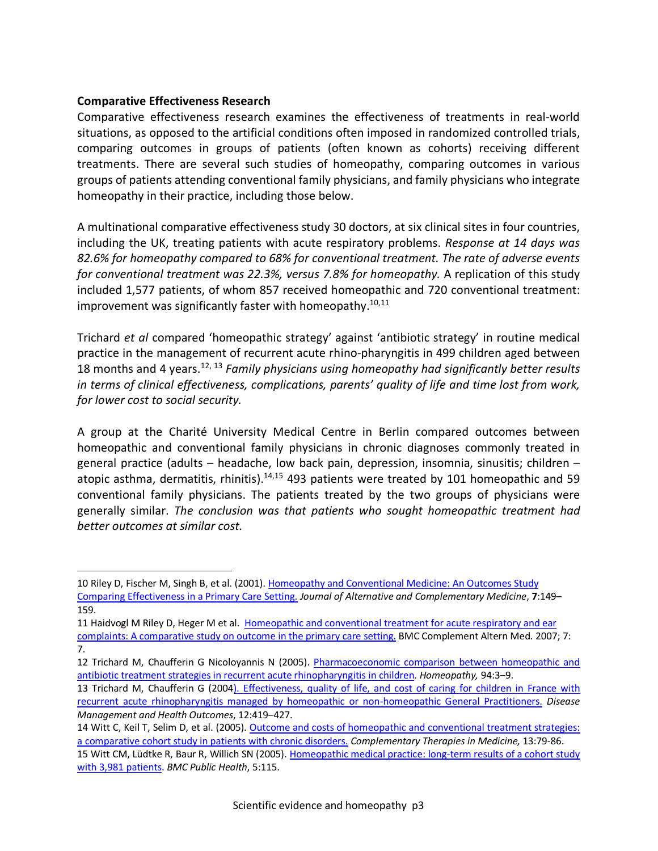#### **Comparative Effectiveness Research**

 $\overline{a}$ 

Comparative effectiveness research examines the effectiveness of treatments in real-world situations, as opposed to the artificial conditions often imposed in randomized controlled trials, comparing outcomes in groups of patients (often known as cohorts) receiving different treatments. There are several such studies of homeopathy, comparing outcomes in various groups of patients attending conventional family physicians, and family physicians who integrate homeopathy in their practice, including those below.

A multinational comparative effectiveness study 30 doctors, at six clinical sites in four countries, including the UK, treating patients with acute respiratory problems. *Response at 14 days was 82.6% for homeopathy compared to 68% for conventional treatment. The rate of adverse events for conventional treatment was 22.3%, versus 7.8% for homeopathy.* A replication of this study included 1,577 patients, of whom 857 received homeopathic and 720 conventional treatment: improvement was significantly faster with homeopathy.<sup>10,11</sup>

Trichard *et al* compared 'homeopathic strategy' against 'antibiotic strategy' in routine medical practice in the management of recurrent acute rhino-pharyngitis in 499 children aged between 18 months and 4 years.12, 13 *Family physicians using homeopathy had significantly better results in terms of clinical effectiveness, complications, parents' quality of life and time lost from work, for lower cost to social security.*

A group at the Charité University Medical Centre in Berlin compared outcomes between homeopathic and conventional family physicians in chronic diagnoses commonly treated in general practice (adults – headache, low back pain, depression, insomnia, sinusitis; children – atopic asthma, dermatitis, rhinitis). $14,15$  493 patients were treated by 101 homeopathic and 59 conventional family physicians. The patients treated by the two groups of physicians were generally similar. *The conclusion was that patients who sought homeopathic treatment had better outcomes at similar cost.*

11 Haidvogl M Riley D, Heger M et al. Homeopathic and conventional treatment for acute respiratory and ear complaints: A comparative study on outcome in the primary care setting. BMC Complement Altern Med. 2007; 7: 7.

<sup>10</sup> Riley D, Fischer M, Singh B, et al. (2001). Homeopathy and Conventional Medicine: An Outcomes Study Comparing Effectiveness in a Primary Care Setting. *Journal of Alternative and Complementary Medicine*, **7**:149– 159.

<sup>12</sup> Trichard M, Chaufferin G Nicoloyannis N (2005). Pharmacoeconomic comparison between homeopathic and antibiotic treatment strategies in recurrent acute rhinopharyngitis in children. *Homeopathy,* 94:3–9.

<sup>13</sup> Trichard M, Chaufferin G (2004). Effectiveness, quality of life, and cost of caring for children in France with recurrent acute rhinopharyngitis managed by homeopathic or non-homeopathic General Practitioners. *Disease Management and Health Outcomes*, 12:419–427.

<sup>14</sup> Witt C, Keil T, Selim D, et al. (2005). Outcome and costs of homeopathic and conventional treatment strategies: a comparative cohort study in patients with chronic disorders. *Complementary Therapies in Medicine,* 13:79-86.

<sup>15</sup> Witt CM, Lüdtke R, Baur R, Willich SN (2005). Homeopathic medical practice: long-term results of a cohort study with 3,981 patients. *BMC Public Health*, 5:115.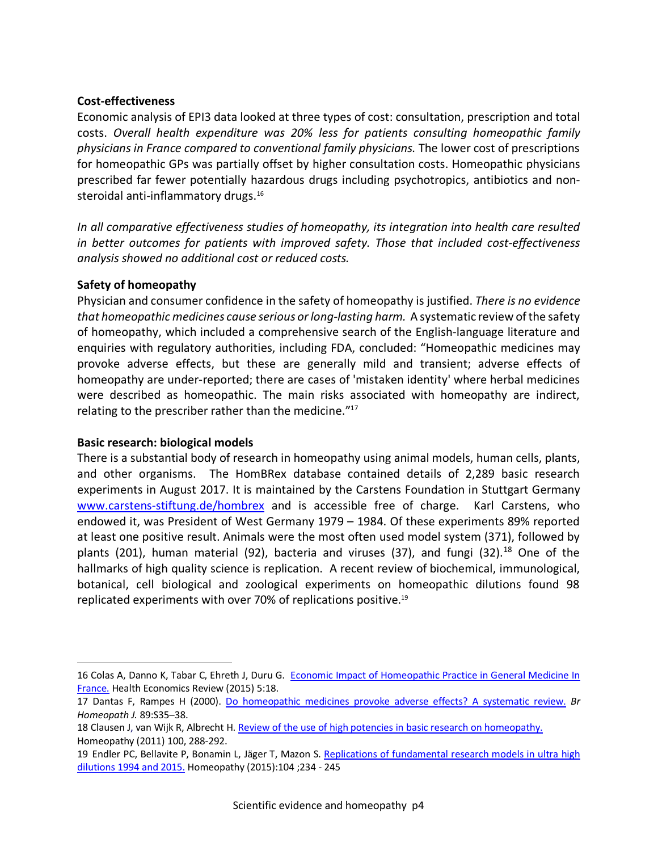#### **Cost-effectiveness**

Economic analysis of EPI3 data looked at three types of cost: consultation, prescription and total costs. *Overall health expenditure was 20% less for patients consulting homeopathic family physicians in France compared to conventional family physicians.* The lower cost of prescriptions for homeopathic GPs was partially offset by higher consultation costs. Homeopathic physicians prescribed far fewer potentially hazardous drugs including psychotropics, antibiotics and nonsteroidal anti-inflammatory drugs.<sup>16</sup>

*In all comparative effectiveness studies of homeopathy, its integration into health care resulted in better outcomes for patients with improved safety. Those that included cost-effectiveness analysis showed no additional cost or reduced costs.* 

# **Safety of homeopathy**

Physician and consumer confidence in the safety of homeopathy is justified. *There is no evidence that homeopathic medicines cause serious or long-lasting harm.* A systematic review of the safety of homeopathy, which included a comprehensive search of the English-language literature and enquiries with regulatory authorities, including FDA, concluded: "Homeopathic medicines may provoke adverse effects, but these are generally mild and transient; adverse effects of homeopathy are under-reported; there are cases of 'mistaken identity' where herbal medicines were described as homeopathic. The main risks associated with homeopathy are indirect, relating to the prescriber rather than the medicine."17

#### **Basic research: biological models**

 $\overline{a}$ 

There is a substantial body of research in homeopathy using animal models, human cells, plants, and other organisms. The HomBRex database contained details of 2,289 basic research experiments in August 2017. It is maintained by the Carstens Foundation in Stuttgart Germany www.carstens-stiftung.de/hombrex and is accessible free of charge. Karl Carstens, who endowed it, was President of West Germany 1979 – 1984. Of these experiments 89% reported at least one positive result. Animals were the most often used model system (371), followed by plants (201), human material (92), bacteria and viruses (37), and fungi (32).<sup>18</sup> One of the hallmarks of high quality science is replication. A recent review of biochemical, immunological, botanical, cell biological and zoological experiments on homeopathic dilutions found 98 replicated experiments with over 70% of replications positive.19

<sup>16</sup> Colas A, Danno K, Tabar C, Ehreth J, Duru G. Economic Impact of Homeopathic Practice in General Medicine In France. Health Economics Review (2015) 5:18.

<sup>17</sup> Dantas F, Rampes H (2000). Do homeopathic medicines provoke adverse effects? A systematic review. *Br Homeopath J.* 89:S35–38.

<sup>18</sup> Clausen J, van Wijk R, Albrecht H. Review of the use of high potencies in basic research on homeopathy. Homeopathy (2011) 100, 288-292.

<sup>19</sup> Endler PC, Bellavite P, Bonamin L, Jäger T, Mazon S. Replications of fundamental research models in ultra high dilutions 1994 and 2015. Homeopathy (2015):104 ;234 - 245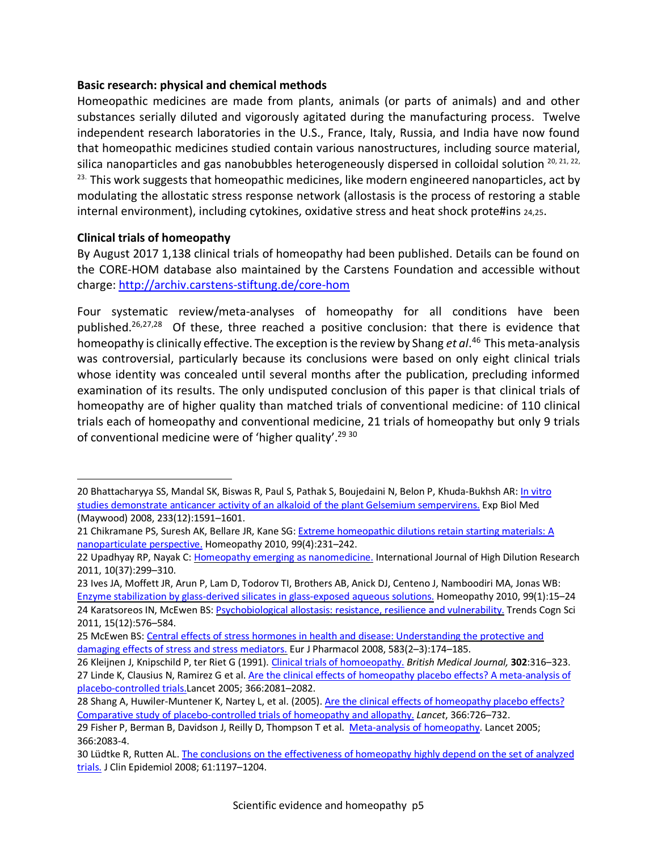#### **Basic research: physical and chemical methods**

Homeopathic medicines are made from plants, animals (or parts of animals) and and other substances serially diluted and vigorously agitated during the manufacturing process. Twelve independent research laboratories in the U.S., France, Italy, Russia, and India have now found that homeopathic medicines studied contain various nanostructures, including source material, silica nanoparticles and gas nanobubbles heterogeneously dispersed in colloidal solution  $^{20, 21, 22, 22}$ <sup>23.</sup> This work suggests that homeopathic medicines, like modern engineered nanoparticles, act by modulating the allostatic stress response network (allostasis is the process of restoring a stable internal environment), including cytokines, oxidative stress and heat shock prote#ins 24,25.

# **Clinical trials of homeopathy**

 $\overline{a}$ 

By August 2017 1,138 clinical trials of homeopathy had been published. Details can be found on the CORE-HOM database also maintained by the Carstens Foundation and accessible without charge: http://archiv.carstens-stiftung.de/core-hom

Four systematic review/meta-analyses of homeopathy for all conditions have been published.<sup>26,27,28</sup> Of these, three reached a positive conclusion: that there is evidence that homeopathy is clinically effective. The exception is the review by Shang *et al*. <sup>46</sup> This meta-analysis was controversial, particularly because its conclusions were based on only eight clinical trials whose identity was concealed until several months after the publication, precluding informed examination of its results. The only undisputed conclusion of this paper is that clinical trials of homeopathy are of higher quality than matched trials of conventional medicine: of 110 clinical trials each of homeopathy and conventional medicine, 21 trials of homeopathy but only 9 trials of conventional medicine were of 'higher quality'.<sup>29 30</sup>

<sup>20</sup> Bhattacharyya SS, Mandal SK, Biswas R, Paul S, Pathak S, Boujedaini N, Belon P, Khuda-Bukhsh AR: In vitro studies demonstrate anticancer activity of an alkaloid of the plant Gelsemium sempervirens. Exp Biol Med (Maywood) 2008, 233(12):1591–1601.

<sup>21</sup> Chikramane PS, Suresh AK, Bellare JR, Kane SG: Extreme homeopathic dilutions retain starting materials: A nanoparticulate perspective. Homeopathy 2010, 99(4):231–242.

<sup>22</sup> Upadhyay RP, Nayak C: Homeopathy emerging as nanomedicine. International Journal of High Dilution Research 2011, 10(37):299–310.

<sup>23</sup> Ives JA, Moffett JR, Arun P, Lam D, Todorov TI, Brothers AB, Anick DJ, Centeno J, Namboodiri MA, Jonas WB: Enzyme stabilization by glass-derived silicates in glass-exposed aqueous solutions. Homeopathy 2010, 99(1):15–24 24 Karatsoreos IN, McEwen BS: Psychobiological allostasis: resistance, resilience and vulnerability. Trends Cogn Sci 2011, 15(12):576–584.

<sup>25</sup> McEwen BS: Central effects of stress hormones in health and disease: Understanding the protective and damaging effects of stress and stress mediators. Eur J Pharmacol 2008, 583(2–3):174–185.

<sup>26</sup> Kleijnen J, Knipschild P, ter Riet G (1991). Clinical trials of homoeopathy. *British Medical Journal,* **302**:316–323. 27 Linde K, Clausius N, Ramirez G et al. Are the clinical effects of homeopathy placebo effects? A meta-analysis of placebo-controlled trials.Lancet 2005; 366:2081–2082.

<sup>28</sup> Shang A, Huwiler-Muntener K, Nartey L, et al. (2005). Are the clinical effects of homeopathy placebo effects? Comparative study of placebo-controlled trials of homeopathy and allopathy. *Lancet*, 366:726–732.

<sup>29</sup> Fisher P, Berman B, Davidson J, Reilly D, Thompson T et al. Meta-analysis of homeopathy. Lancet 2005; 366:2083-4.

<sup>30</sup> Lüdtke R, Rutten AL. The conclusions on the effectiveness of homeopathy highly depend on the set of analyzed trials. J Clin Epidemiol 2008; 61:1197–1204.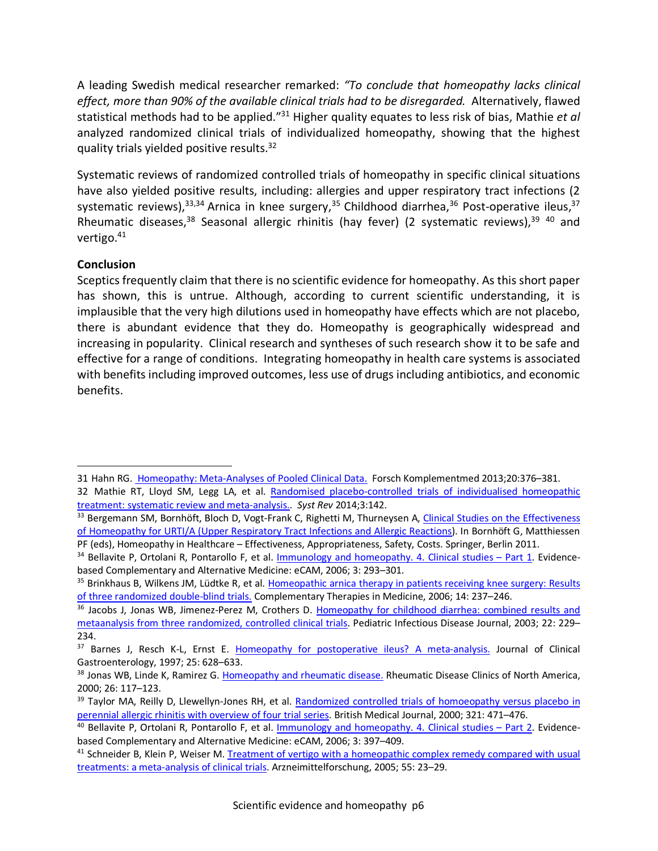A leading Swedish medical researcher remarked: *"To conclude that homeopathy lacks clinical effect, more than 90% of the available clinical trials had to be disregarded.* Alternatively, flawed statistical methods had to be applied."31 Higher quality equates to less risk of bias, Mathie *et al* analyzed randomized clinical trials of individualized homeopathy, showing that the highest quality trials yielded positive results.<sup>32</sup>

Systematic reviews of randomized controlled trials of homeopathy in specific clinical situations have also yielded positive results, including: allergies and upper respiratory tract infections (2 systematic reviews),  $33,34$  Arnica in knee surgery,  $35$  Childhood diarrhea,  $36$  Post-operative ileus,  $37$ Rheumatic diseases, <sup>38</sup> Seasonal allergic rhinitis (hay fever) (2 systematic reviews), <sup>39</sup> <sup>40</sup> and vertigo.41

# **Conclusion**

 $\overline{a}$ 

Sceptics frequently claim that there is no scientific evidence for homeopathy. As this short paper has shown, this is untrue. Although, according to current scientific understanding, it is implausible that the very high dilutions used in homeopathy have effects which are not placebo, there is abundant evidence that they do. Homeopathy is geographically widespread and increasing in popularity. Clinical research and syntheses of such research show it to be safe and effective for a range of conditions. Integrating homeopathy in health care systems is associated with benefits including improved outcomes, less use of drugs including antibiotics, and economic benefits.

<sup>31</sup> Hahn RG. Homeopathy: Meta-Analyses of Pooled Clinical Data. Forsch Komplementmed 2013;20:376-381. 32 Mathie RT, Lloyd SM, Legg LA, et al. Randomised placebo-controlled trials of individualised homeopathic treatment: systematic review and meta-analysis.. *Syst Rev* 2014;3:142.

<sup>33</sup> Bergemann SM, Bornhöft, Bloch D, Vogt-Frank C, Righetti M, Thurneysen A, Clinical Studies on the Effectiveness of Homeopathy for URTI/A (Upper Respiratory Tract Infections and Allergic Reactions). In Bornhöft G, Matthiessen<br>PF (eds), Homeopathy in Healthcare – Effectiveness, Appropriateness, Safety, Costs. Springer, Berlin 2011.

<sup>&</sup>lt;sup>34</sup> Bellavite P, Ortolani R, Pontarollo F, et al. **Immunology and homeopathy. 4. Clinical studies – Part 1**. Evidencebased Complementary and Alternative Medicine: eCAM, 2006; 3: 293–301.

<sup>&</sup>lt;sup>35</sup> Brinkhaus B, Wilkens JM, Lüdtke R, et al. Homeopathic arnica therapy in patients receiving knee surgery: Results of three randomized double-blind trials. Complementary Therapies in Medicine, 2006; 14: 237–246.

<sup>&</sup>lt;sup>36</sup> Jacobs J, Jonas WB, Jimenez-Perez M, Crothers D. Homeopathy for childhood diarrhea: combined results and metaanalysis from three randomized, controlled clinical trials. Pediatric Infectious Disease Journal, 2003; 22: 229– 234.

<sup>&</sup>lt;sup>37</sup> Barnes J, Resch K-L, Ernst E. Homeopathy for postoperative ileus? A meta-analysis. Journal of Clinical Gastroenterology, 1997; 25: 628–633.

<sup>&</sup>lt;sup>38</sup> Jonas WB, Linde K, Ramirez G. Homeopathy and rheumatic disease. Rheumatic Disease Clinics of North America, 2000; 26: 117–123.

<sup>&</sup>lt;sup>39</sup> Taylor MA, Reilly D, Llewellyn-Jones RH, et al. Randomized controlled trials of homoeopathy versus placebo in perennial allergic rhinitis with overview of four trial series. British Medical Journal, 2000; 321: 471–476.

<sup>&</sup>lt;sup>40</sup> Bellavite P, Ortolani R, Pontarollo F, et al. Immunology and homeopathy. 4. Clinical studies – Part 2. Evidencebased Complementary and Alternative Medicine: eCAM, 2006; 3: 397–409.

<sup>&</sup>lt;sup>41</sup> Schneider B, Klein P, Weiser M. Treatment of vertigo with a homeopathic complex remedy compared with usual treatments: a meta-analysis of clinical trials. Arzneimittelforschung, 2005; 55: 23–29.